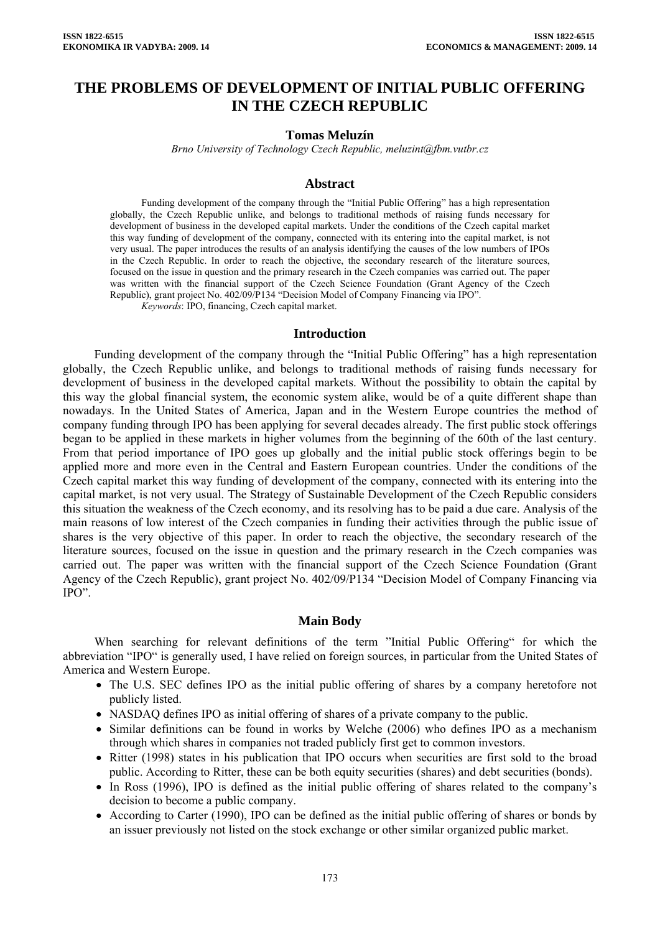# **THE PROBLEMS OF DEVELOPMENT OF INITIAL PUBLIC OFFERING IN THE CZECH REPUBLIC**

#### **Tomas Meluzín**

*Brno University of Technology Czech Republic, [meluzint@fbm.vutbr.cz](mailto:meluzint@fbm.vutbr.cz)*

### **Abstract**

Funding development of the company through the "Initial Public Offering" has a high representation globally, the Czech Republic unlike, and belongs to traditional methods of raising funds necessary for development of business in the developed capital markets. Under the conditions of the Czech capital market this way funding of development of the company, connected with its entering into the capital market, is not very usual. The paper introduces the results of an analysis identifying the causes of the low numbers of IPOs in the Czech Republic. In order to reach the objective, the secondary research of the literature sources, focused on the issue in question and the primary research in the Czech companies was carried out. The paper was written with the financial support of the Czech Science Foundation (Grant Agency of the Czech Republic), grant project No. 402/09/P134 "Decision Model of Company Financing via IPO".

*Keywords*: IPO, financing, Czech capital market.

#### **Introduction**

Funding development of the company through the "Initial Public Offering" has a high representation globally, the Czech Republic unlike, and belongs to traditional methods of raising funds necessary for development of business in the developed capital markets. Without the possibility to obtain the capital by this way the global financial system, the economic system alike, would be of a quite different shape than nowadays. In the United States of America, Japan and in the Western Europe countries the method of company funding through IPO has been applying for several decades already. The first public stock offerings began to be applied in these markets in higher volumes from the beginning of the 60th of the last century. From that period importance of IPO goes up globally and the initial public stock offerings begin to be applied more and more even in the Central and Eastern European countries. Under the conditions of the Czech capital market this way funding of development of the company, connected with its entering into the capital market, is not very usual. The Strategy of Sustainable Development of the Czech Republic considers this situation the weakness of the Czech economy, and its resolving has to be paid a due care. Analysis of the main reasons of low interest of the Czech companies in funding their activities through the public issue of shares is the very objective of this paper. In order to reach the objective, the secondary research of the literature sources, focused on the issue in question and the primary research in the Czech companies was carried out. The paper was written with the financial support of the Czech Science Foundation (Grant Agency of the Czech Republic), grant project No. 402/09/P134 "Decision Model of Company Financing via IPO".

#### **Main Body**

When searching for relevant definitions of the term "Initial Public Offering" for which the abbreviation "IPO" is generally used, I have relied on foreign sources, in particular from the United States of America and Western Europe.

- The U.S. SEC defines IPO as the initial public offering of shares by a company heretofore not publicly listed.
- NASDAQ defines IPO as initial offering of shares of a private company to the public.
- Similar definitions can be found in works by Welche (2006) who defines IPO as a mechanism through which shares in companies not traded publicly first get to common investors.
- Ritter (1998) states in his publication that IPO occurs when securities are first sold to the broad public. According to Ritter, these can be both equity securities (shares) and debt securities (bonds).
- In Ross (1996), IPO is defined as the initial public offering of shares related to the company's decision to become a public company.
- According to Carter (1990), IPO can be defined as the initial public offering of shares or bonds by an issuer previously not listed on the stock exchange or other similar organized public market.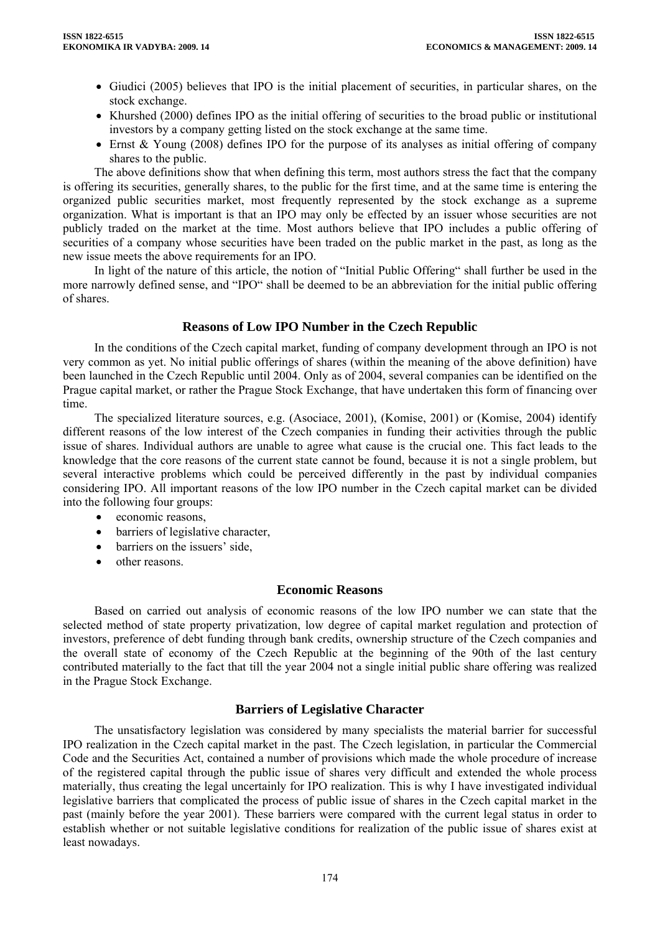- Giudici (2005) believes that IPO is the initial placement of securities, in particular shares, on the stock exchange.
- Khurshed (2000) defines IPO as the initial offering of securities to the broad public or institutional investors by a company getting listed on the stock exchange at the same time.
- Ernst & Young (2008) defines IPO for the purpose of its analyses as initial offering of company shares to the public.

The above definitions show that when defining this term, most authors stress the fact that the company is offering its securities, generally shares, to the public for the first time, and at the same time is entering the organized public securities market, most frequently represented by the stock exchange as a supreme organization. What is important is that an IPO may only be effected by an issuer whose securities are not publicly traded on the market at the time. Most authors believe that IPO includes a public offering of securities of a company whose securities have been traded on the public market in the past, as long as the new issue meets the above requirements for an IPO.

In light of the nature of this article, the notion of "Initial Public Offering" shall further be used in the more narrowly defined sense, and "IPO" shall be deemed to be an abbreviation for the initial public offering of shares.

## **Reasons of Low IPO Number in the Czech Republic**

In the conditions of the Czech capital market, funding of company development through an IPO is not very common as yet. No initial public offerings of shares (within the meaning of the above definition) have been launched in the Czech Republic until 2004. Only as of 2004, several companies can be identified on the Prague capital market, or rather the Prague Stock Exchange, that have undertaken this form of financing over time.

The specialized literature sources, e.g. (Asociace, 2001), (Komise, 2001) or (Komise, 2004) identify different reasons of the low interest of the Czech companies in funding their activities through the public issue of shares. Individual authors are unable to agree what cause is the crucial one. This fact leads to the knowledge that the core reasons of the current state cannot be found, because it is not a single problem, but several interactive problems which could be perceived differently in the past by individual companies considering IPO. All important reasons of the low IPO number in the Czech capital market can be divided into the following four groups:

- economic reasons.
- barriers of legislative character,
- barriers on the issuers' side,
- other reasons.

#### **Economic Reasons**

Based on carried out analysis of economic reasons of the low IPO number we can state that the selected method of state property privatization, low degree of capital market regulation and protection of investors, preference of debt funding through bank credits, ownership structure of the Czech companies and the overall state of economy of the Czech Republic at the beginning of the 90th of the last century contributed materially to the fact that till the year 2004 not a single initial public share offering was realized in the Prague Stock Exchange.

### **Barriers of Legislative Character**

The unsatisfactory legislation was considered by many specialists the material barrier for successful IPO realization in the Czech capital market in the past. The Czech legislation, in particular the Commercial Code and the Securities Act, contained a number of provisions which made the whole procedure of increase of the registered capital through the public issue of shares very difficult and extended the whole process materially, thus creating the legal uncertainly for IPO realization. This is why I have investigated individual legislative barriers that complicated the process of public issue of shares in the Czech capital market in the past (mainly before the year 2001). These barriers were compared with the current legal status in order to establish whether or not suitable legislative conditions for realization of the public issue of shares exist at least nowadays.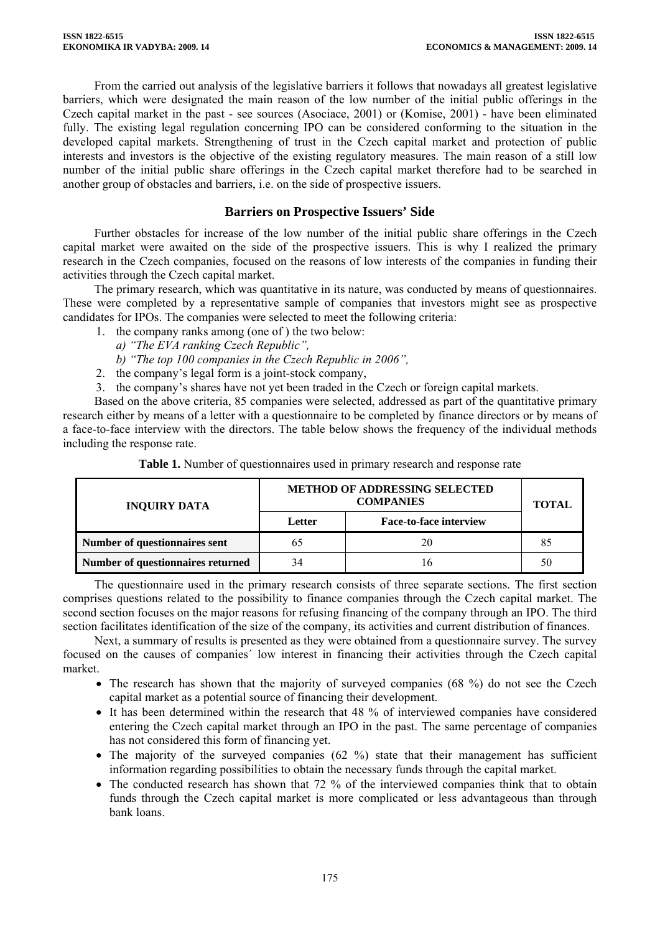From the carried out analysis of the legislative barriers it follows that nowadays all greatest legislative barriers, which were designated the main reason of the low number of the initial public offerings in the Czech capital market in the past - see sources (Asociace, 2001) or (Komise, 2001) - have been eliminated fully. The existing legal regulation concerning IPO can be considered conforming to the situation in the developed capital markets. Strengthening of trust in the Czech capital market and protection of public interests and investors is the objective of the existing regulatory measures. The main reason of a still low number of the initial public share offerings in the Czech capital market therefore had to be searched in another group of obstacles and barriers, i.e. on the side of prospective issuers.

### **Barriers on Prospective Issuers' Side**

Further obstacles for increase of the low number of the initial public share offerings in the Czech capital market were awaited on the side of the prospective issuers. This is why I realized the primary research in the Czech companies, focused on the reasons of low interests of the companies in funding their activities through the Czech capital market.

The primary research, which was quantitative in its nature, was conducted by means of questionnaires. These were completed by a representative sample of companies that investors might see as prospective candidates for IPOs. The companies were selected to meet the following criteria:

1. the company ranks among (one of ) the two below:

*a) "The EVA ranking Czech Republic",* 

*b) "The top 100 companies in the Czech Republic in 2006",* 

- 2. the company's legal form is a joint-stock company,
- 3. the company's shares have not yet been traded in the Czech or foreign capital markets.

Based on the above criteria, 85 companies were selected, addressed as part of the quantitative primary research either by means of a letter with a questionnaire to be completed by finance directors or by means of a face-to-face interview with the directors. The table below shows the frequency of the individual methods including the response rate.

| <b>INQUIRY DATA</b>               | <b>METHOD OF ADDRESSING SELECTED</b><br><b>COMPANIES</b> |                               | <b>TOTAL</b> |
|-----------------------------------|----------------------------------------------------------|-------------------------------|--------------|
|                                   | Letter                                                   | <b>Face-to-face interview</b> |              |
| Number of questionnaires sent     | 65                                                       |                               |              |
| Number of questionnaires returned | 34                                                       |                               | 50           |

**Table 1.** Number of questionnaires used in primary research and response rate

The questionnaire used in the primary research consists of three separate sections. The first section comprises questions related to the possibility to finance companies through the Czech capital market. The second section focuses on the major reasons for refusing financing of the company through an IPO. The third section facilitates identification of the size of the company, its activities and current distribution of finances.

Next, a summary of results is presented as they were obtained from a questionnaire survey. The survey focused on the causes of companies´ low interest in financing their activities through the Czech capital market.

- The research has shown that the majority of surveyed companies (68 %) do not see the Czech capital market as a potential source of financing their development.
- It has been determined within the research that 48 % of interviewed companies have considered entering the Czech capital market through an IPO in the past. The same percentage of companies has not considered this form of financing yet.
- The majority of the surveyed companies  $(62 \%)$  state that their management has sufficient information regarding possibilities to obtain the necessary funds through the capital market.
- The conducted research has shown that 72 % of the interviewed companies think that to obtain funds through the Czech capital market is more complicated or less advantageous than through bank loans.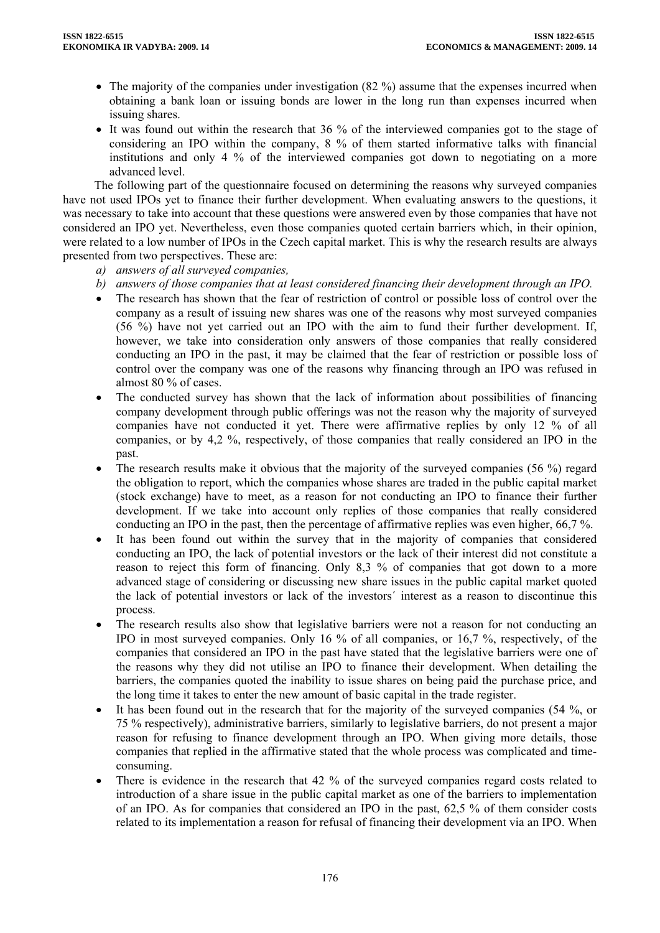- The majority of the companies under investigation (82 %) assume that the expenses incurred when obtaining a bank loan or issuing bonds are lower in the long run than expenses incurred when issuing shares.
- It was found out within the research that 36 % of the interviewed companies got to the stage of considering an IPO within the company, 8 % of them started informative talks with financial institutions and only 4 % of the interviewed companies got down to negotiating on a more advanced level.

The following part of the questionnaire focused on determining the reasons why surveyed companies have not used IPOs yet to finance their further development. When evaluating answers to the questions, it was necessary to take into account that these questions were answered even by those companies that have not considered an IPO yet. Nevertheless, even those companies quoted certain barriers which, in their opinion, were related to a low number of IPOs in the Czech capital market. This is why the research results are always presented from two perspectives. These are:

- *a) answers of all surveyed companies,*
- *b) answers of those companies that at least considered financing their development through an IPO.*
- The research has shown that the fear of restriction of control or possible loss of control over the company as a result of issuing new shares was one of the reasons why most surveyed companies (56 %) have not yet carried out an IPO with the aim to fund their further development. If, however, we take into consideration only answers of those companies that really considered conducting an IPO in the past, it may be claimed that the fear of restriction or possible loss of control over the company was one of the reasons why financing through an IPO was refused in almost 80 % of cases.
- The conducted survey has shown that the lack of information about possibilities of financing company development through public offerings was not the reason why the majority of surveyed companies have not conducted it yet. There were affirmative replies by only 12 % of all companies, or by 4,2 %, respectively, of those companies that really considered an IPO in the past.
- The research results make it obvious that the majority of the surveyed companies (56 %) regard the obligation to report, which the companies whose shares are traded in the public capital market (stock exchange) have to meet, as a reason for not conducting an IPO to finance their further development. If we take into account only replies of those companies that really considered conducting an IPO in the past, then the percentage of affirmative replies was even higher, 66,7 %.
- It has been found out within the survey that in the majority of companies that considered conducting an IPO, the lack of potential investors or the lack of their interest did not constitute a reason to reject this form of financing. Only 8,3 % of companies that got down to a more advanced stage of considering or discussing new share issues in the public capital market quoted the lack of potential investors or lack of the investors´ interest as a reason to discontinue this process.
- The research results also show that legislative barriers were not a reason for not conducting an IPO in most surveyed companies. Only 16 % of all companies, or 16,7 %, respectively, of the companies that considered an IPO in the past have stated that the legislative barriers were one of the reasons why they did not utilise an IPO to finance their development. When detailing the barriers, the companies quoted the inability to issue shares on being paid the purchase price, and the long time it takes to enter the new amount of basic capital in the trade register.
- It has been found out in the research that for the majority of the surveyed companies (54  $\%$ , or 75 % respectively), administrative barriers, similarly to legislative barriers, do not present a major reason for refusing to finance development through an IPO. When giving more details, those companies that replied in the affirmative stated that the whole process was complicated and timeconsuming.
- There is evidence in the research that 42 % of the surveyed companies regard costs related to introduction of a share issue in the public capital market as one of the barriers to implementation of an IPO. As for companies that considered an IPO in the past, 62,5 % of them consider costs related to its implementation a reason for refusal of financing their development via an IPO. When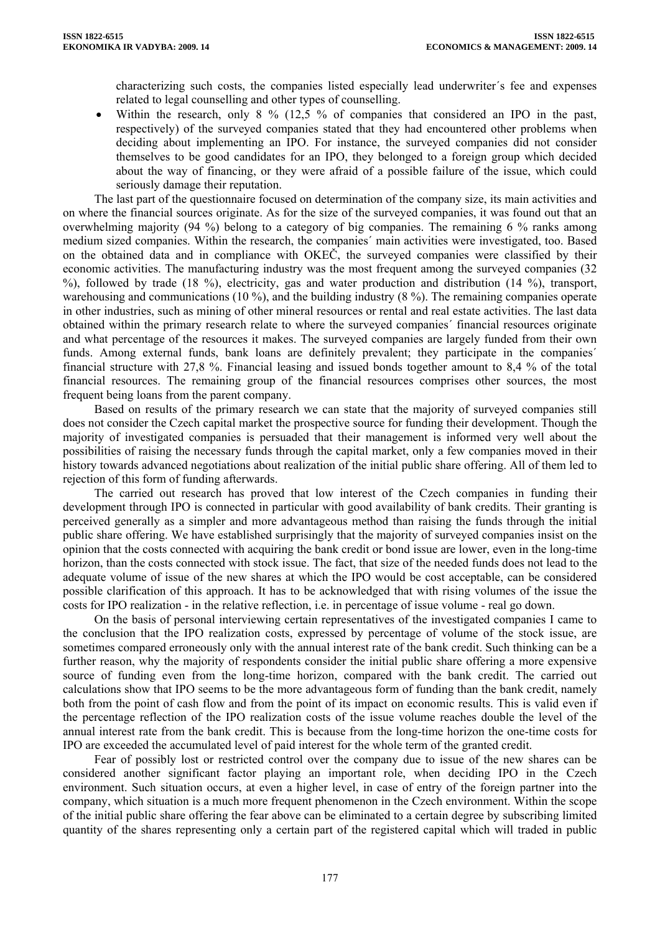characterizing such costs, the companies listed especially lead underwriter´s fee and expenses related to legal counselling and other types of counselling.

Within the research, only 8 % (12,5 % of companies that considered an IPO in the past, respectively) of the surveyed companies stated that they had encountered other problems when deciding about implementing an IPO. For instance, the surveyed companies did not consider themselves to be good candidates for an IPO, they belonged to a foreign group which decided about the way of financing, or they were afraid of a possible failure of the issue, which could seriously damage their reputation.

The last part of the questionnaire focused on determination of the company size, its main activities and on where the financial sources originate. As for the size of the surveyed companies, it was found out that an overwhelming majority (94 %) belong to a category of big companies. The remaining 6 % ranks among medium sized companies. Within the research, the companies´ main activities were investigated, too. Based on the obtained data and in compliance with OKEČ, the surveyed companies were classified by their economic activities. The manufacturing industry was the most frequent among the surveyed companies (32 %), followed by trade (18 %), electricity, gas and water production and distribution (14 %), transport, warehousing and communications (10 %), and the building industry (8 %). The remaining companies operate in other industries, such as mining of other mineral resources or rental and real estate activities. The last data obtained within the primary research relate to where the surveyed companies´ financial resources originate and what percentage of the resources it makes. The surveyed companies are largely funded from their own funds. Among external funds, bank loans are definitely prevalent; they participate in the companies´ financial structure with 27,8 %. Financial leasing and issued bonds together amount to 8,4 % of the total financial resources. The remaining group of the financial resources comprises other sources, the most frequent being loans from the parent company.

Based on results of the primary research we can state that the majority of surveyed companies still does not consider the Czech capital market the prospective source for funding their development. Though the majority of investigated companies is persuaded that their management is informed very well about the possibilities of raising the necessary funds through the capital market, only a few companies moved in their history towards advanced negotiations about realization of the initial public share offering. All of them led to rejection of this form of funding afterwards.

The carried out research has proved that low interest of the Czech companies in funding their development through IPO is connected in particular with good availability of bank credits. Their granting is perceived generally as a simpler and more advantageous method than raising the funds through the initial public share offering. We have established surprisingly that the majority of surveyed companies insist on the opinion that the costs connected with acquiring the bank credit or bond issue are lower, even in the long-time horizon, than the costs connected with stock issue. The fact, that size of the needed funds does not lead to the adequate volume of issue of the new shares at which the IPO would be cost acceptable, can be considered possible clarification of this approach. It has to be acknowledged that with rising volumes of the issue the costs for IPO realization - in the relative reflection, i.e. in percentage of issue volume - real go down.

On the basis of personal interviewing certain representatives of the investigated companies I came to the conclusion that the IPO realization costs, expressed by percentage of volume of the stock issue, are sometimes compared erroneously only with the annual interest rate of the bank credit. Such thinking can be a further reason, why the majority of respondents consider the initial public share offering a more expensive source of funding even from the long-time horizon, compared with the bank credit. The carried out calculations show that IPO seems to be the more advantageous form of funding than the bank credit, namely both from the point of cash flow and from the point of its impact on economic results. This is valid even if the percentage reflection of the IPO realization costs of the issue volume reaches double the level of the annual interest rate from the bank credit. This is because from the long-time horizon the one-time costs for IPO are exceeded the accumulated level of paid interest for the whole term of the granted credit.

Fear of possibly lost or restricted control over the company due to issue of the new shares can be considered another significant factor playing an important role, when deciding IPO in the Czech environment. Such situation occurs, at even a higher level, in case of entry of the foreign partner into the company, which situation is a much more frequent phenomenon in the Czech environment. Within the scope of the initial public share offering the fear above can be eliminated to a certain degree by subscribing limited quantity of the shares representing only a certain part of the registered capital which will traded in public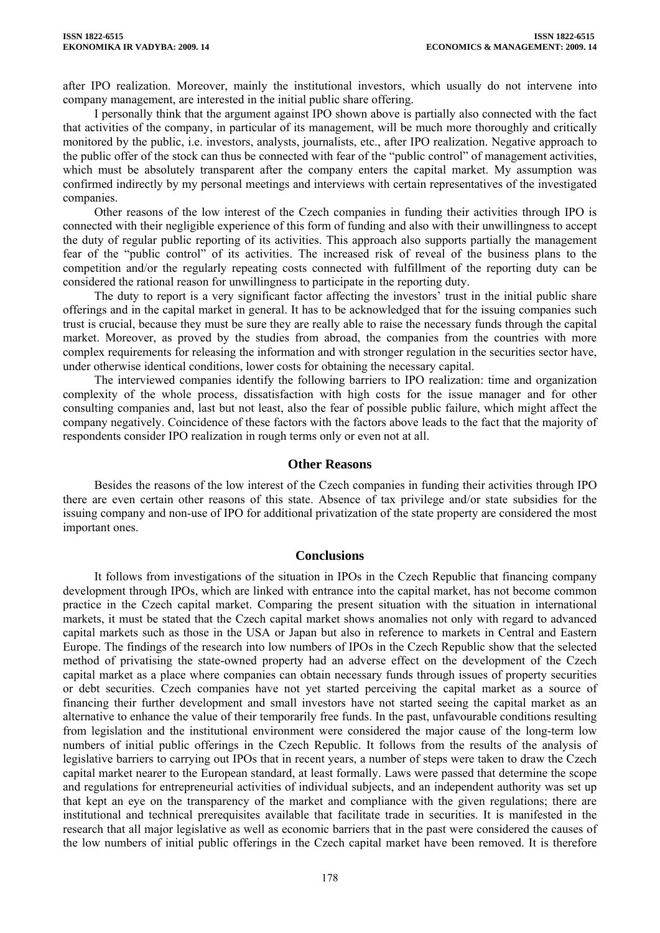after IPO realization. Moreover, mainly the institutional investors, which usually do not intervene into company management, are interested in the initial public share offering.

I personally think that the argument against IPO shown above is partially also connected with the fact that activities of the company, in particular of its management, will be much more thoroughly and critically monitored by the public, i.e. investors, analysts, journalists, etc., after IPO realization. Negative approach to the public offer of the stock can thus be connected with fear of the "public control" of management activities, which must be absolutely transparent after the company enters the capital market. My assumption was confirmed indirectly by my personal meetings and interviews with certain representatives of the investigated companies.

Other reasons of the low interest of the Czech companies in funding their activities through IPO is connected with their negligible experience of this form of funding and also with their unwillingness to accept the duty of regular public reporting of its activities. This approach also supports partially the management fear of the "public control" of its activities. The increased risk of reveal of the business plans to the competition and/or the regularly repeating costs connected with fulfillment of the reporting duty can be considered the rational reason for unwillingness to participate in the reporting duty.

The duty to report is a very significant factor affecting the investors' trust in the initial public share offerings and in the capital market in general. It has to be acknowledged that for the issuing companies such trust is crucial, because they must be sure they are really able to raise the necessary funds through the capital market. Moreover, as proved by the studies from abroad, the companies from the countries with more complex requirements for releasing the information and with stronger regulation in the securities sector have, under otherwise identical conditions, lower costs for obtaining the necessary capital.

The interviewed companies identify the following barriers to IPO realization: time and organization complexity of the whole process, dissatisfaction with high costs for the issue manager and for other consulting companies and, last but not least, also the fear of possible public failure, which might affect the company negatively. Coincidence of these factors with the factors above leads to the fact that the majority of respondents consider IPO realization in rough terms only or even not at all.

#### **Other Reasons**

Besides the reasons of the low interest of the Czech companies in funding their activities through IPO there are even certain other reasons of this state. Absence of tax privilege and/or state subsidies for the issuing company and non-use of IPO for additional privatization of the state property are considered the most important ones.

#### **Conclusions**

It follows from investigations of the situation in IPOs in the Czech Republic that financing company development through IPOs, which are linked with entrance into the capital market, has not become common practice in the Czech capital market. Comparing the present situation with the situation in international markets, it must be stated that the Czech capital market shows anomalies not only with regard to advanced capital markets such as those in the USA or Japan but also in reference to markets in Central and Eastern Europe. The findings of the research into low numbers of IPOs in the Czech Republic show that the selected method of privatising the state-owned property had an adverse effect on the development of the Czech capital market as a place where companies can obtain necessary funds through issues of property securities or debt securities. Czech companies have not yet started perceiving the capital market as a source of financing their further development and small investors have not started seeing the capital market as an alternative to enhance the value of their temporarily free funds. In the past, unfavourable conditions resulting from legislation and the institutional environment were considered the major cause of the long-term low numbers of initial public offerings in the Czech Republic. It follows from the results of the analysis of legislative barriers to carrying out IPOs that in recent years, a number of steps were taken to draw the Czech capital market nearer to the European standard, at least formally. Laws were passed that determine the scope and regulations for entrepreneurial activities of individual subjects, and an independent authority was set up that kept an eye on the transparency of the market and compliance with the given regulations; there are institutional and technical prerequisites available that facilitate trade in securities. It is manifested in the research that all major legislative as well as economic barriers that in the past were considered the causes of the low numbers of initial public offerings in the Czech capital market have been removed. It is therefore